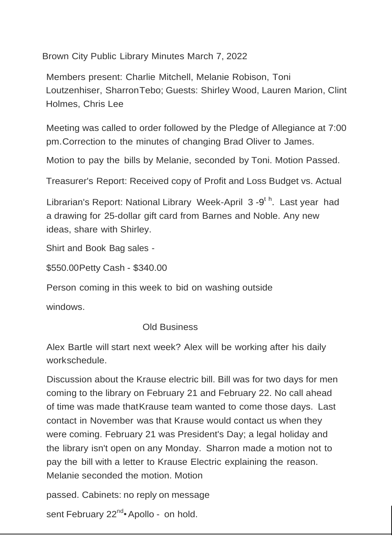Brown City Public Library Minutes March 7, 2022

Members present: Charlie Mitchell, Melanie Robison, Toni Loutzenhiser, SharronTebo; Guests: Shirley Wood, Lauren Marion, Clint Holmes, Chris Lee

Meeting was called to order followed by the Pledge of Allegiance at 7:00 pm.Correction to the minutes of changing Brad Oliver to James.

Motion to pay the bills by Melanie, seconded by Toni. Motion Passed.

Treasurer's Report: Received copy of Profit and Loss Budget vs. Actual

Librarian's Report: National Library Week-April 3-9<sup>th</sup>. Last year had a drawing for 25-dollar gift card from Barnes and Noble. Any new ideas, share with Shirley.

Shirt and Book Bag sales -

\$550.00Petty Cash - \$340.00

Person coming in this week to bid on washing outside

windows.

Old Business

Alex Bartle will start next week? Alex will be working after his daily workschedule.

Discussion about the Krause electric bill. Bill was for two days for men coming to the library on February 21 and February 22. No call ahead of time was made thatKrause team wanted to come those days. Last contact in November was that Krause would contact us when they were coming. February 21 was President's Day; a legal holiday and the library isn't open on any Monday. Sharron made a motion not to pay the bill with a letter to Krause Electric explaining the reason. Melanie seconded the motion. Motion

passed. Cabinets: no reply on message

sent February 22<sup>nd</sup> Apollo - on hold.